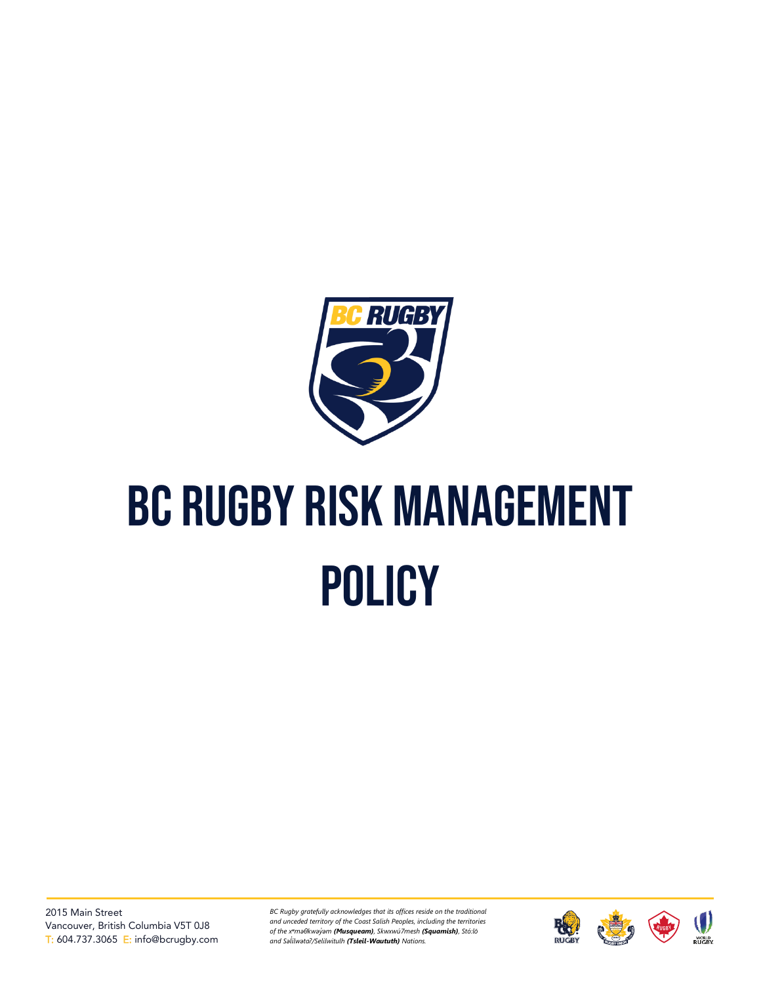

# BC Rugby risk management **POLICY**

*BC Rugby gratefully acknowledges that its offices reside on the traditional and unceded territory of the Coast Salish Peoples, including the territories of the xʷməθkwəy̓əm (Musqueam), Skwxwú7mesh (Squamish), Stó:lō and Səl ílwətaʔ/Selilwitulh (Tsleil-Waututh) Nations. ̓*

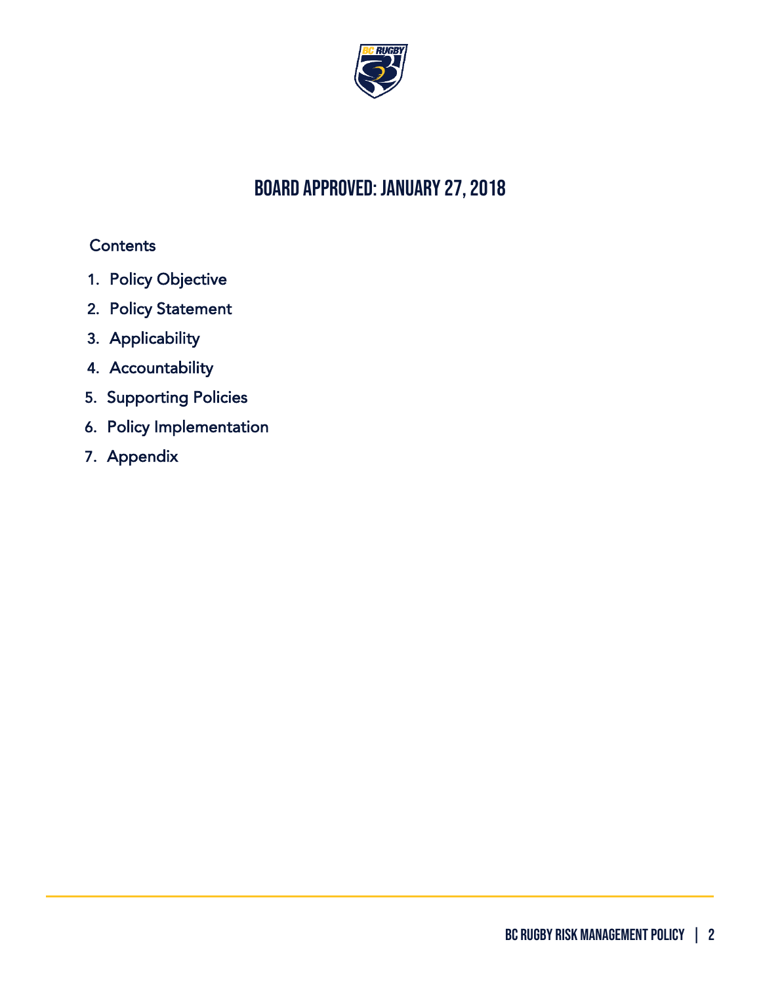

## board approved: January 27, 2018

## **Contents**

- 1. [Policy Objective](#page-2-0)
- 2. [Policy Statement](#page-2-1)
- 3. [Applicability](#page-2-2)
- 4. [Accountability](#page-2-3)
- 5. [Supporting Policies](#page-3-0)
- 6. [Policy Implementation](#page-3-1)
- 7. [Appendix](#page-4-0)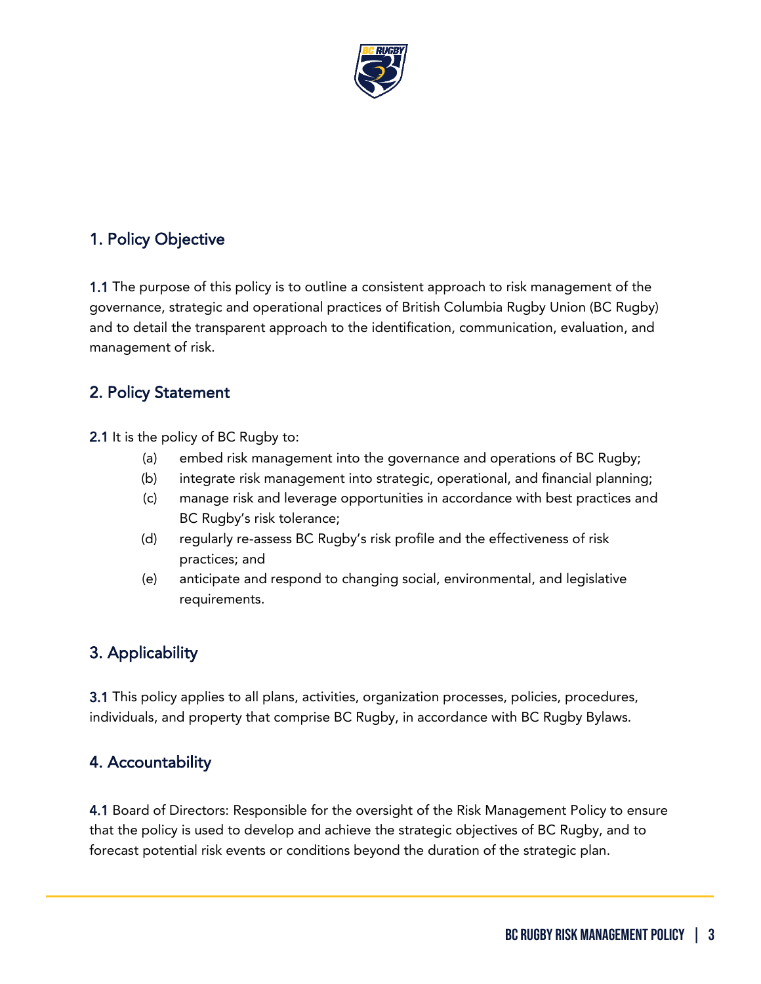

## <span id="page-2-0"></span>1. Policy Objective

1.1 The purpose of this policy is to outline a consistent approach to risk management of the governance, strategic and operational practices of British Columbia Rugby Union (BC Rugby) and to detail the transparent approach to the identification, communication, evaluation, and management of risk.

## <span id="page-2-1"></span>2. Policy Statement

2.1 It is the policy of BC Rugby to:

- (a) embed risk management into the governance and operations of BC Rugby;
- (b) integrate risk management into strategic, operational, and financial planning;
- (c) manage risk and leverage opportunities in accordance with best practices and BC Rugby's risk tolerance;
- (d) regularly re-assess BC Rugby's risk profile and the effectiveness of risk practices; and
- (e) anticipate and respond to changing social, environmental, and legislative requirements.

## <span id="page-2-2"></span>3. Applicability

3.1 This policy applies to all plans, activities, organization processes, policies, procedures, individuals, and property that comprise BC Rugby, in accordance with BC Rugby Bylaws.

#### <span id="page-2-3"></span>4. Accountability

4.1 Board of Directors: Responsible for the oversight of the Risk Management Policy to ensure that the policy is used to develop and achieve the strategic objectives of BC Rugby, and to forecast potential risk events or conditions beyond the duration of the strategic plan.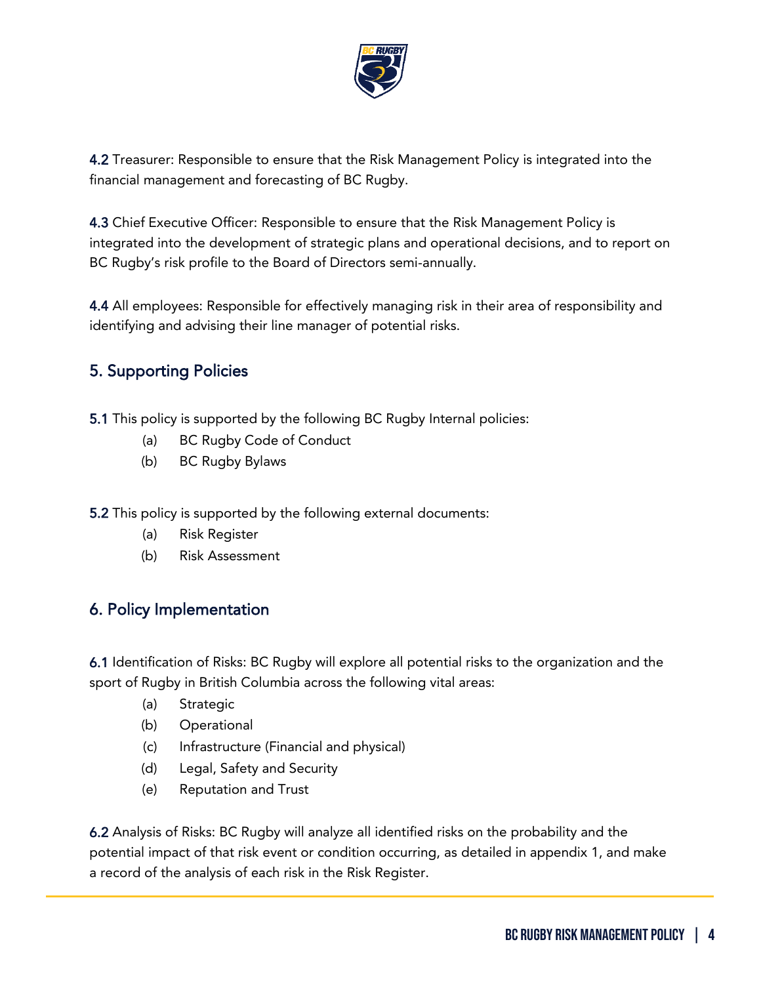

4.2 Treasurer: Responsible to ensure that the Risk Management Policy is integrated into the financial management and forecasting of BC Rugby.

4.3 Chief Executive Officer: Responsible to ensure that the Risk Management Policy is integrated into the development of strategic plans and operational decisions, and to report on BC Rugby's risk profile to the Board of Directors semi-annually.

4.4 All employees: Responsible for effectively managing risk in their area of responsibility and identifying and advising their line manager of potential risks.

## <span id="page-3-0"></span>5. Supporting Policies

- 5.1 This policy is supported by the following BC Rugby Internal policies:
	- (a) BC Rugby Code of Conduct
	- (b) BC Rugby Bylaws

5.2 This policy is supported by the following external documents:

- (a) Risk Register
- (b) Risk Assessment

## <span id="page-3-1"></span>6. Policy Implementation

6.1 Identification of Risks: BC Rugby will explore all potential risks to the organization and the sport of Rugby in British Columbia across the following vital areas:

- (a) Strategic
- (b) Operational
- (c) Infrastructure (Financial and physical)
- (d) Legal, Safety and Security
- (e) Reputation and Trust

6.2 Analysis of Risks: BC Rugby will analyze all identified risks on the probability and the potential impact of that risk event or condition occurring, as detailed in appendix 1, and make a record of the analysis of each risk in the Risk Register.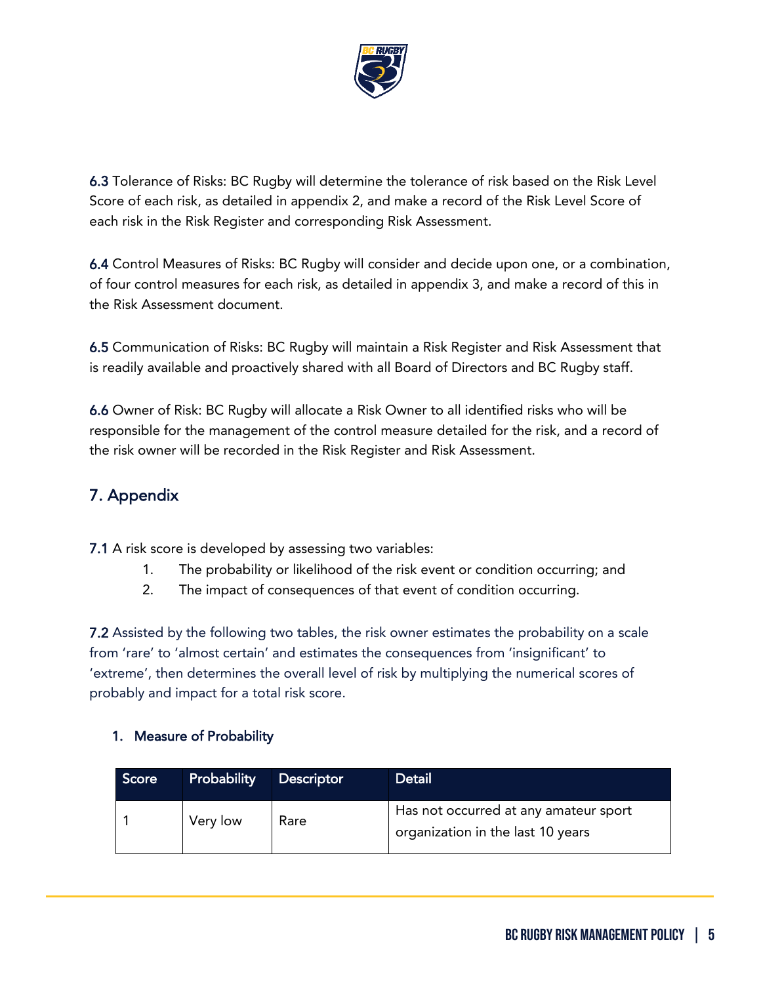

6.3 Tolerance of Risks: BC Rugby will determine the tolerance of risk based on the Risk Level Score of each risk, as detailed in appendix 2, and make a record of the Risk Level Score of each risk in the Risk Register and corresponding Risk Assessment.

6.4 Control Measures of Risks: BC Rugby will consider and decide upon one, or a combination, of four control measures for each risk, as detailed in appendix 3, and make a record of this in the Risk Assessment document.

6.5 Communication of Risks: BC Rugby will maintain a Risk Register and Risk Assessment that is readily available and proactively shared with all Board of Directors and BC Rugby staff.

6.6 Owner of Risk: BC Rugby will allocate a Risk Owner to all identified risks who will be responsible for the management of the control measure detailed for the risk, and a record of the risk owner will be recorded in the Risk Register and Risk Assessment.

## <span id="page-4-0"></span>7. Appendix

7.1 A risk score is developed by assessing two variables:

- 1. The probability or likelihood of the risk event or condition occurring; and
- 2. The impact of consequences of that event of condition occurring.

**7.2** Assisted by the following two tables, the risk owner estimates the probability on a scale from 'rare' to 'almost certain' and estimates the consequences from 'insignificant' to 'extreme', then determines the overall level of risk by multiplying the numerical scores of probably and impact for a total risk score.

#### 1. Measure of Probability

| Score | <b>Probability</b> | <b>Descriptor</b> | <b>Detail</b>                                                              |
|-------|--------------------|-------------------|----------------------------------------------------------------------------|
|       | Very low           | Rare              | Has not occurred at any amateur sport<br>organization in the last 10 years |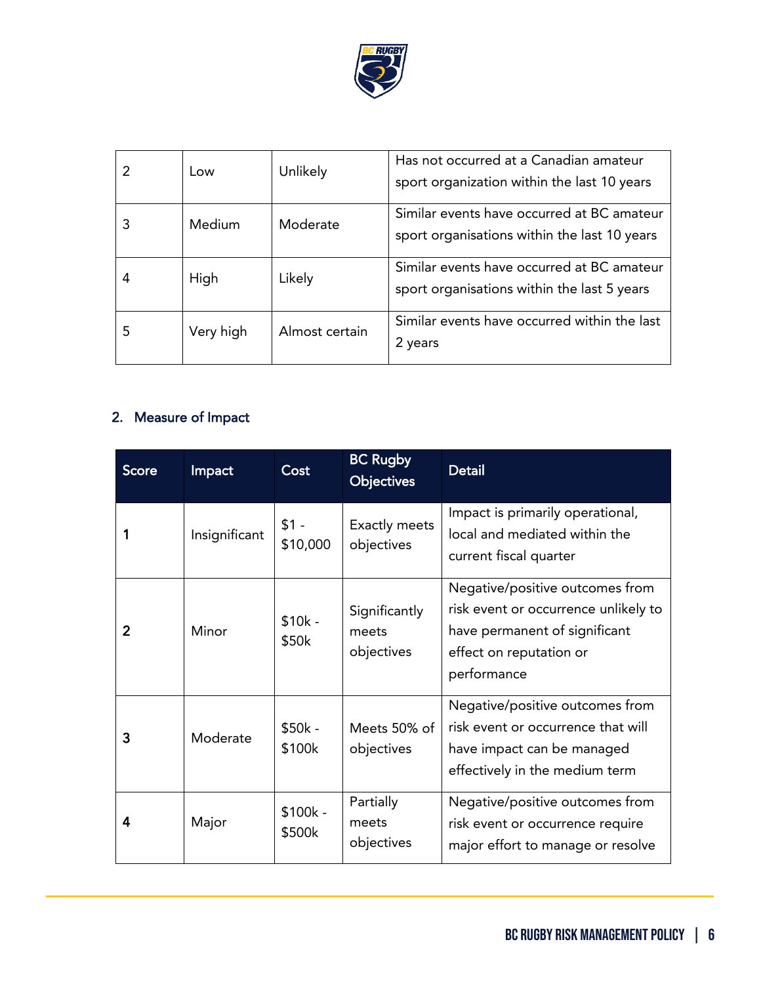

|   | Low       | Unlikely       | Has not occurred at a Canadian amateur<br>sport organization within the last 10 years      |
|---|-----------|----------------|--------------------------------------------------------------------------------------------|
|   | Medium    | Moderate       | Similar events have occurred at BC amateur<br>sport organisations within the last 10 years |
|   | High      | Likely         | Similar events have occurred at BC amateur<br>sport organisations within the last 5 years  |
| 5 | Very high | Almost certain | Similar events have occurred within the last<br>2 years                                    |

## 2. Measure of Impact

| <b>Score</b>   | Impact        | Cost               | <b>BC Rugby</b><br><b>Objectives</b> | <b>Detail</b>                                                                                                                                      |  |
|----------------|---------------|--------------------|--------------------------------------|----------------------------------------------------------------------------------------------------------------------------------------------------|--|
|                | Insignificant | $$1 -$<br>\$10,000 | Exactly meets<br>objectives          | Impact is primarily operational,<br>local and mediated within the<br>current fiscal quarter                                                        |  |
| $\overline{2}$ | Minor         | $$10k -$<br>\$50k  | Significantly<br>meets<br>objectives | Negative/positive outcomes from<br>risk event or occurrence unlikely to<br>have permanent of significant<br>effect on reputation or<br>performance |  |
| 3              | Moderate      | $$50k -$<br>\$100k | Meets 50% of<br>objectives           | Negative/positive outcomes from<br>risk event or occurrence that will<br>have impact can be managed<br>effectively in the medium term              |  |
| 4              | Major         | \$100k -<br>\$500k | Partially<br>meets<br>objectives     | Negative/positive outcomes from<br>risk event or occurrence require<br>major effort to manage or resolve                                           |  |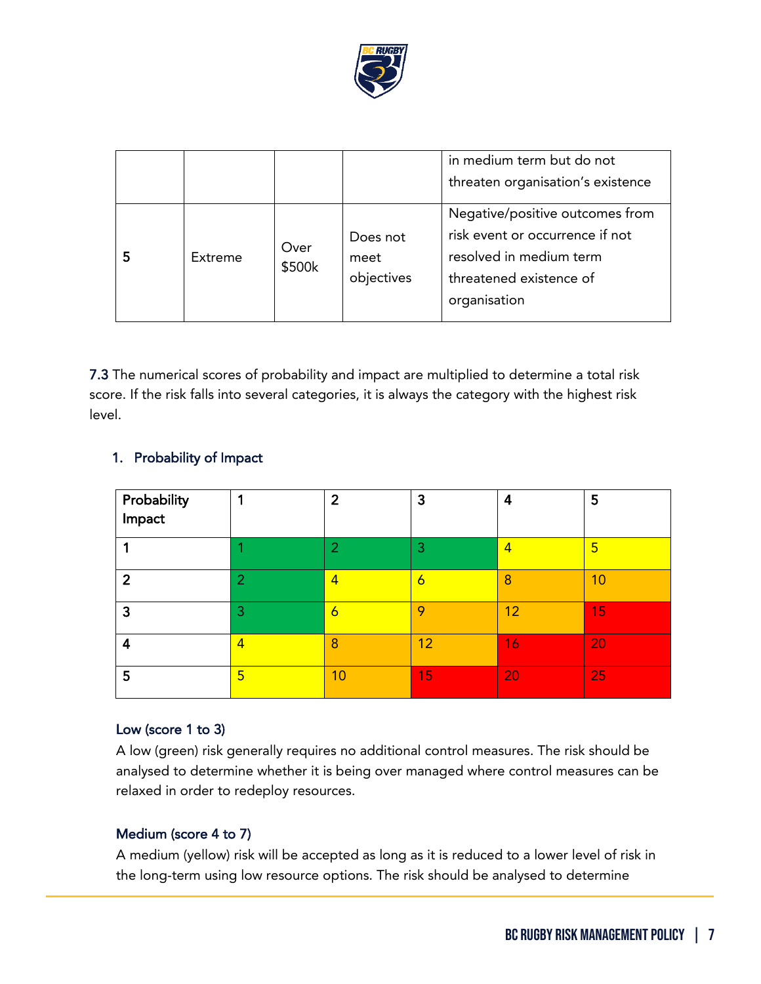

|   |                |                |                                | in medium term but do not<br>threaten organisation's existence                                                                           |
|---|----------------|----------------|--------------------------------|------------------------------------------------------------------------------------------------------------------------------------------|
| 5 | <b>Extreme</b> | Over<br>\$500k | Does not<br>meet<br>objectives | Negative/positive outcomes from<br>risk event or occurrence if not<br>resolved in medium term<br>threatened existence of<br>organisation |

7.3 The numerical scores of probability and impact are multiplied to determine a total risk score. If the risk falls into several categories, it is always the category with the highest risk level.

| Probability<br>Impact |                          | $\overline{2}$ | 3               | 4              | 5               |
|-----------------------|--------------------------|----------------|-----------------|----------------|-----------------|
|                       |                          | 2              | З               | $\overline{4}$ | 5               |
| 2                     | ◠                        | 4              | 6               | 8              | 10              |
| 3                     | 3                        | 6              | 9               | 12             | $\overline{15}$ |
| 4                     | $\overline{\mathcal{A}}$ | 8              | 12 <sup>°</sup> | 16             | 20              |
| 5                     | 5                        | 10             | 15              | 20             | 25              |

#### 1. Probability of Impact

#### Low (score 1 to 3)

A low (green) risk generally requires no additional control measures. The risk should be analysed to determine whether it is being over managed where control measures can be relaxed in order to redeploy resources.

#### Medium (score 4 to 7)

A medium (yellow) risk will be accepted as long as it is reduced to a lower level of risk in the long-term using low resource options. The risk should be analysed to determine